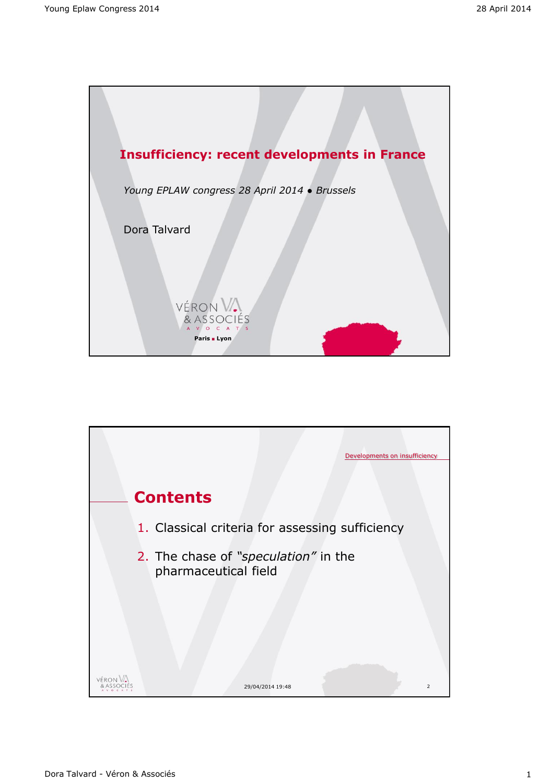

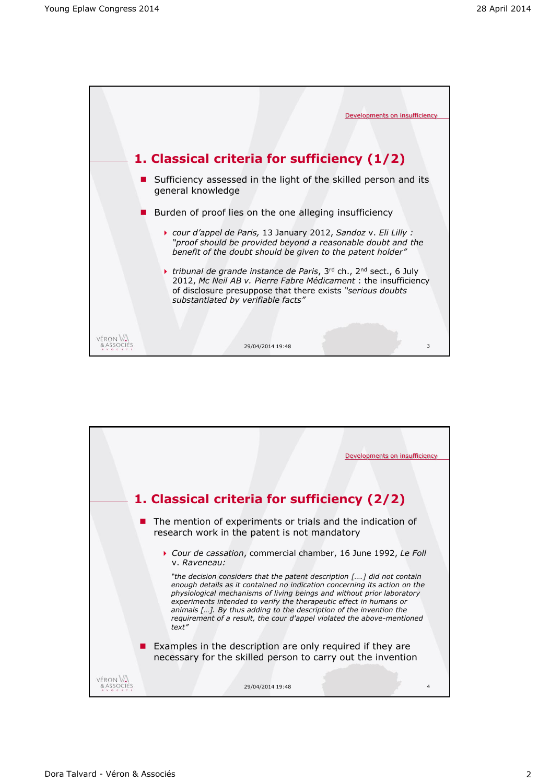

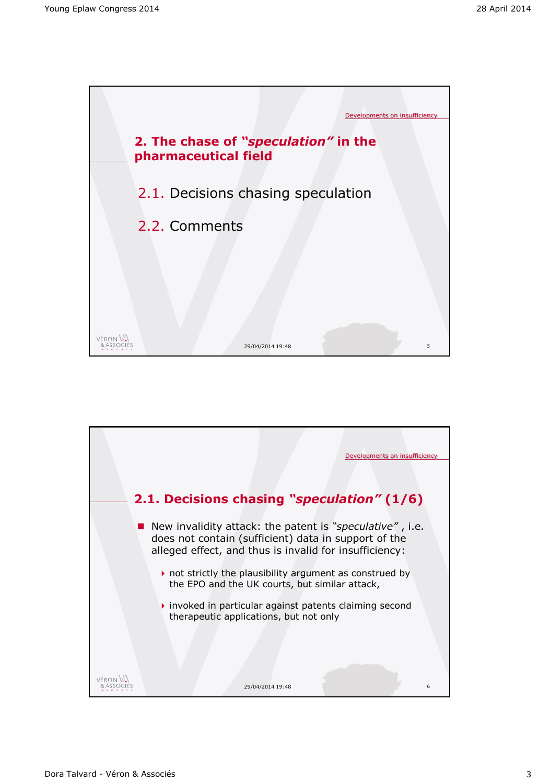

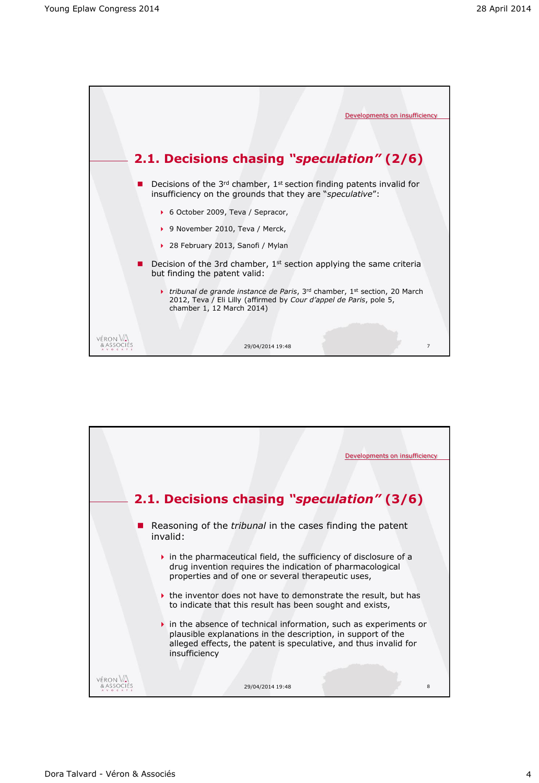

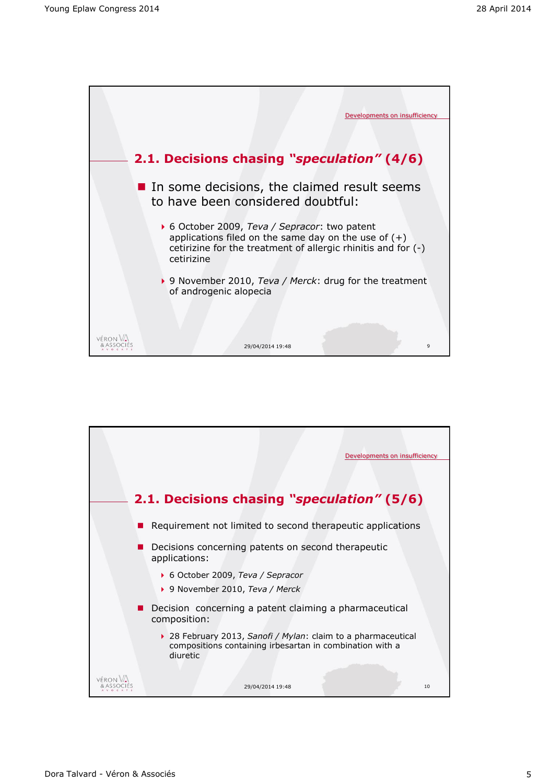

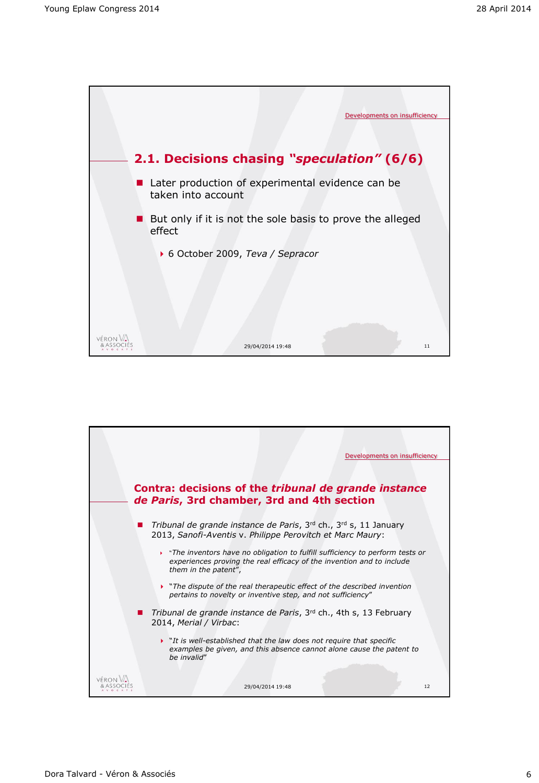

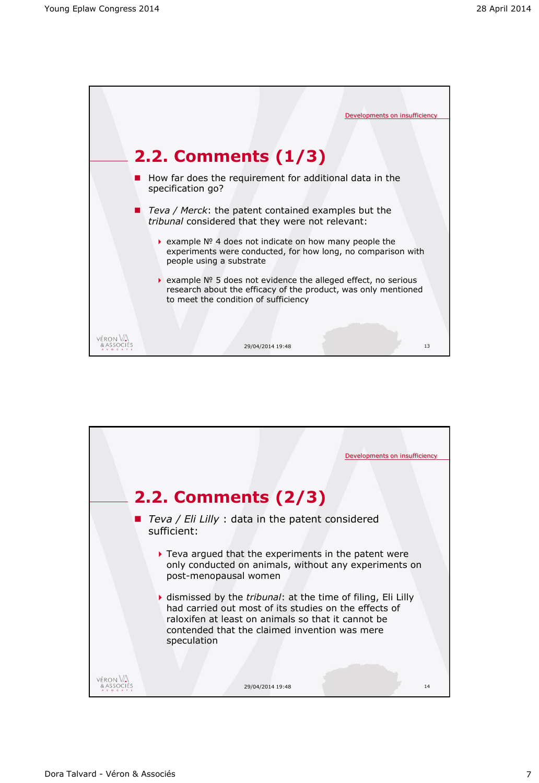